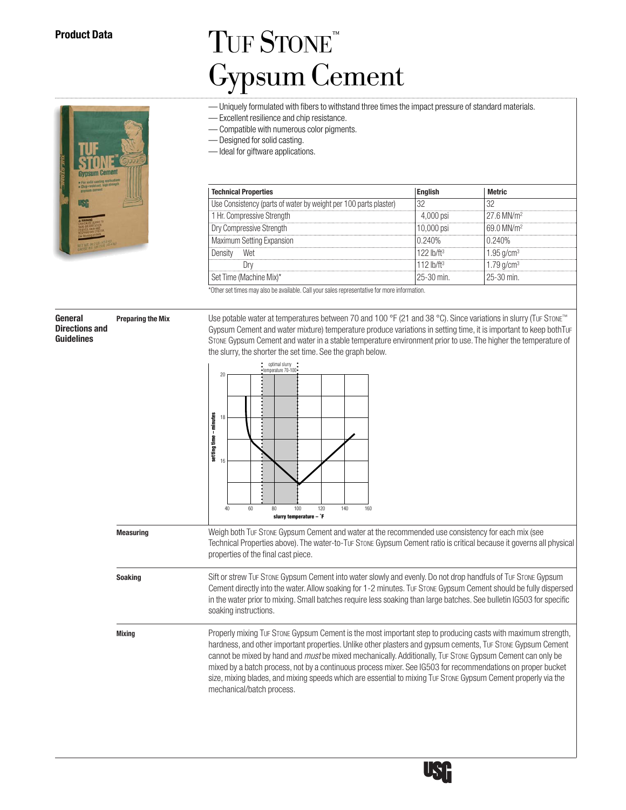## TUF STONE<sup>™</sup> Gypsum Cement

- Uniquely formulated with fibers to withstand three times the impact pressure of standard materials.
- Excellent resilience and chip resistance.
- Compatible with numerous color pigments.

— Designed for solid casting.

— Ideal for giftware applications.

| <b>Technical Properties</b>                                      |               |                          |
|------------------------------------------------------------------|---------------|--------------------------|
| Use Consistency (parts of water by weight per 100 parts plaster) |               |                          |
| 1 Hr. Compressive Strenath                                       | 4.000 psi     | $276$ MN/m <sup>2</sup>  |
| Dry Compressive Strength                                         | 10.000 psi    | $69.0$ MN/m <sup>2</sup> |
| Maximum Setting Expansion                                        | ነ 240%        | በ 240%                   |
| Wei                                                              |               | $1.95$ g/cm <sup>3</sup> |
| .                                                                |               | $1/9$ g/cm <sup>3</sup>  |
| lime (Machine Mix)*                                              | $25 - 30$ min | $25 - 30$ min            |

\*Other set times may also be available. Call your sales representative for more information.

**General Preparing the Mix** Use potable water at temperatures between 70 and 100 °F (21 and 38 °C). Since variations in slurry (TuF STONE™<br>Directions and **Preparing the Mix** Gynsum Cement and water mixture) temperature pr **Directions and Gypsum Cement and water mixture) temperature produce variations in setting time, it is important to keep bothTuF Guidelines Consum Cement and water in a stable temperature environment prior to use. The bi** STONE Gypsum Cement and water in a stable temperature environment prior to use. The higher the temperature of the slurry, the shorter the set time. See the graph below.



**Measuring** Weigh both TUF STONE Gypsum Cement and water at the recommended use consistency for each mix (see Technical Properties above). The water-to-TuF Stone Gypsum Cement ratio is critical because it governs all physical properties of the final cast piece.

**Soaking** Sift or strew TuF Stone Gypsum Cement into water slowly and evenly. Do not drop handfuls of TuF Stone Gypsum Cement directly into the water.Allow soaking for 1-2 minutes. TUF STONE Gypsum Cement should be fully dispersed in the water prior to mixing. Small batches require less soaking than large batches. See bulletin IG503 for specific soaking instructions.

**Mixing** Properly mixing TuF Stone Gypsum Cement is the most important step to producing casts with maximum strength, hardness, and other important properties. Unlike other plasters and gypsum cements, TuF STONE Gypsum Cement cannot be mixed by hand and *must* be mixed mechanically. Additionally, TuF STONE Gypsum Cement can only be mixed by a batch process, not by a continuous process mixer. See IG503 for recommendations on proper bucket size, mixing blades, and mixing speeds which are essential to mixing TuF STONE Gypsum Cement properly via the mechanical/batch process.